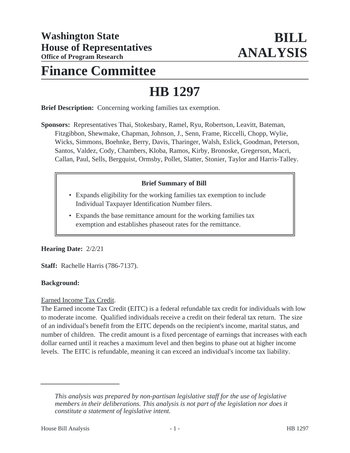# **Finance Committee**

# **HB 1297**

**Brief Description:** Concerning working families tax exemption.

**Sponsors:** Representatives Thai, Stokesbary, Ramel, Ryu, Robertson, Leavitt, Bateman, Fitzgibbon, Shewmake, Chapman, Johnson, J., Senn, Frame, Riccelli, Chopp, Wylie, Wicks, Simmons, Boehnke, Berry, Davis, Tharinger, Walsh, Eslick, Goodman, Peterson, Santos, Valdez, Cody, Chambers, Kloba, Ramos, Kirby, Bronoske, Gregerson, Macri, Callan, Paul, Sells, Bergquist, Ormsby, Pollet, Slatter, Stonier, Taylor and Harris-Talley.

#### **Brief Summary of Bill**

- Expands eligibility for the working families tax exemption to include Individual Taxpayer Identification Number filers.
- Expands the base remittance amount for the working families tax exemption and establishes phaseout rates for the remittance.

#### **Hearing Date:** 2/2/21

**Staff:** Rachelle Harris (786-7137).

#### **Background:**

Earned Income Tax Credit.

The Earned income Tax Credit (EITC) is a federal refundable tax credit for individuals with low to moderate income. Qualified individuals receive a credit on their federal tax return. The size of an individual's benefit from the EITC depends on the recipient's income, marital status, and number of children. The credit amount is a fixed percentage of earnings that increases with each dollar earned until it reaches a maximum level and then begins to phase out at higher income levels. The EITC is refundable, meaning it can exceed an individual's income tax liability.

*This analysis was prepared by non-partisan legislative staff for the use of legislative members in their deliberations. This analysis is not part of the legislation nor does it constitute a statement of legislative intent.*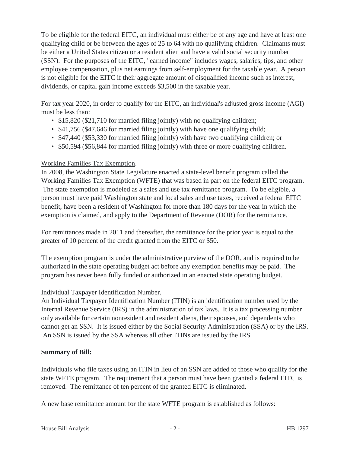To be eligible for the federal EITC, an individual must either be of any age and have at least one qualifying child or be between the ages of 25 to 64 with no qualifying children. Claimants must be either a United States citizen or a resident alien and have a valid social security number (SSN). For the purposes of the EITC, "earned income" includes wages, salaries, tips, and other employee compensation, plus net earnings from self-employment for the taxable year. A person is not eligible for the EITC if their aggregate amount of disqualified income such as interest, dividends, or capital gain income exceeds \$3,500 in the taxable year.

For tax year 2020, in order to qualify for the EITC, an individual's adjusted gross income (AGI) must be less than:

- \$15,820 (\$21,710 for married filing jointly) with no qualifying children;
- \$41,756 (\$47,646 for married filing jointly) with have one qualifying child;
- \$47,440 (\$53,330 for married filing jointly) with have two qualifying children; or
- \$50,594 (\$56,844 for married filing jointly) with three or more qualifying children.

# Working Families Tax Exemption.

In 2008, the Washington State Legislature enacted a state-level benefit program called the Working Families Tax Exemption (WFTE) that was based in part on the federal EITC program. The state exemption is modeled as a sales and use tax remittance program. To be eligible, a person must have paid Washington state and local sales and use taxes, received a federal EITC benefit, have been a resident of Washington for more than 180 days for the year in which the exemption is claimed, and apply to the Department of Revenue (DOR) for the remittance.

For remittances made in 2011 and thereafter, the remittance for the prior year is equal to the greater of 10 percent of the credit granted from the EITC or \$50.

The exemption program is under the administrative purview of the DOR, and is required to be authorized in the state operating budget act before any exemption benefits may be paid. The program has never been fully funded or authorized in an enacted state operating budget.

# Individual Taxpayer Identification Number.

An Individual Taxpayer Identification Number (ITIN) is an identification number used by the Internal Revenue Service (IRS) in the administration of tax laws. It is a tax processing number only available for certain nonresident and resident aliens, their spouses, and dependents who cannot get an SSN. It is issued either by the Social Security Administration (SSA) or by the IRS. An SSN is issued by the SSA whereas all other ITINs are issued by the IRS.

# **Summary of Bill:**

Individuals who file taxes using an ITIN in lieu of an SSN are added to those who qualify for the state WFTE program. The requirement that a person must have been granted a federal EITC is removed. The remittance of ten percent of the granted EITC is eliminated.

A new base remittance amount for the state WFTE program is established as follows: